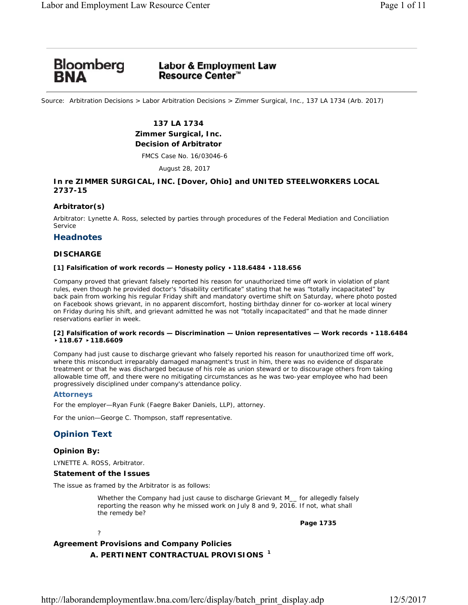# Bloomberg<br>**BNA**

# **Labor & Employment Law Resource Center**™

Source: Arbitration Decisions > Labor Arbitration Decisions > Zimmer Surgical, Inc., 137 LA 1734 (Arb. 2017)

# **137 LA 1734 Zimmer Surgical, Inc. Decision of Arbitrator**

FMCS Case No. 16/03046-6

August 28, 2017

# **In re ZIMMER SURGICAL, INC. [Dover, Ohio] and UNITED STEELWORKERS LOCAL 2737-15**

# **Arbitrator(s)**

Arbitrator: Lynette A. Ross, selected by parties through procedures of the Federal Mediation and Conciliation Service

## **Headnotes**

# **DISCHARGE**

## **[1] Falsification of work records — Honesty policy** ▸**118.6484** ▸**118.656**

Company proved that grievant falsely reported his reason for unauthorized time off work in violation of plant rules, even though he provided doctor's "disability certificate" stating that he was "totally incapacitated" by back pain from working his regular Friday shift and mandatory overtime shift on Saturday, where photo posted on Facebook shows grievant, in no apparent discomfort, hosting birthday dinner for co-worker at local winery on Friday during his shift, and grievant admitted he was not "totally incapacitated" and that he made dinner reservations earlier in week.

## **[2] Falsification of work records — Discrimination — Union representatives — Work records** ▸**118.6484**  ▸**118.67** ▸**118.6609**

Company had just cause to discharge grievant who falsely reported his reason for unauthorized time off work, where this misconduct irreparably damaged managment's trust in him, there was no evidence of disparate treatment or that he was discharged because of his role as union steward or to discourage others from taking allowable time off, and there were no mitigating circumstances as he was two-year employee who had been progressively disciplined under company's attendance policy.

## **Attorneys**

For the employer—Ryan Funk (Faegre Baker Daniels, LLP), attorney.

For the union—George C. Thompson, staff representative.

# **Opinion Text**

# **Opinion By:**

LYNETTE A. ROSS, Arbitrator.

?

# **Statement of the Issues**

The issue as framed by the Arbitrator is as follows:

Whether the Company had just cause to discharge Grievant M for allegedly falsely reporting the reason why he missed work on July 8 and 9, 2016. If not, what shall the remedy be?

**Page 1735**

# **Agreement Provisions and Company Policies** *A. PERTINENT CONTRACTUAL PROVISIONS <sup>1</sup>*

http://laborandemploymentlaw.bna.com/lerc/display/batch\_print\_display.adp 12/5/2017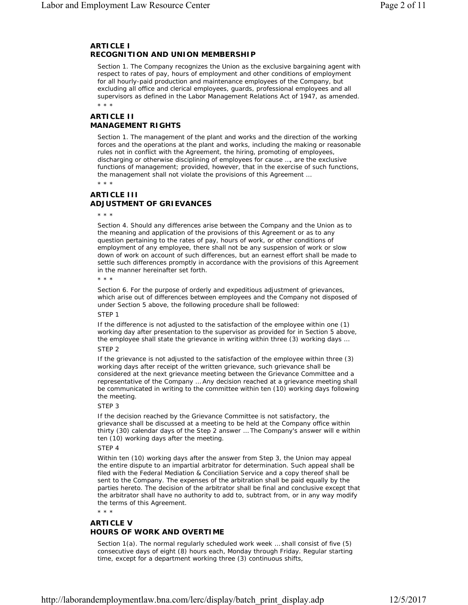# *ARTICLE I RECOGNITION AND UNION MEMBERSHIP*

*Section 1*. The Company recognizes the Union as the exclusive bargaining agent with respect to rates of pay, hours of employment and other conditions of employment for all hourly-paid production and maintenance employees of the Company, but excluding all office and clerical employees, guards, professional employees and all supervisors as defined in the Labor Management Relations Act of 1947, as amended. \* \* \*

*ARTICLE II MANAGEMENT RIGHTS*

*Section 1*. The management of the plant and works and the direction of the working forces and the operations at the plant and works, including the making or reasonable rules not in conflict with the Agreement, the hiring, promoting of employees, discharging or otherwise disciplining of employees for cause …, are the exclusive functions of management; provided, however, that in the exercise of such functions, the management shall not violate the provisions of this Agreement …

\* \* \*

# *ARTICLE III ADJUSTMENT OF GRIEVANCES*

\* \* \*

*Section 4*. Should any differences arise between the Company and the Union as to the meaning and application of the provisions of this Agreement or as to any question pertaining to the rates of pay, hours of work, or other conditions of employment of any employee, there shall not be any suspension of work or slow down of work on account of such differences, but an earnest effort shall be made to settle such differences promptly in accordance with the provisions of this Agreement in the manner hereinafter set forth.

\* \* \*

*Section 6*. For the purpose of orderly and expeditious adjustment of grievances, which arise out of differences between employees and the Company not disposed of under Section 5 above, the following procedure shall be followed:

*STEP 1*

If the difference is not adjusted to the satisfaction of the employee within one (1) working day after presentation to the supervisor as provided for in Section 5 above, the employee shall state the grievance in writing within three (3) working days …

## *STEP 2*

If the grievance is not adjusted to the satisfaction of the employee within three (3) working days after receipt of the written grievance, such grievance shall be considered at the next grievance meeting between the Grievance Committee and a representative of the Company … Any decision reached at a grievance meeting shall be communicated in writing to the committee within ten (10) working days following the meeting.

## *STEP 3*

If the decision reached by the Grievance Committee is not satisfactory, the grievance shall be discussed at a meeting to be held at the Company office within thirty (30) calendar days of the Step 2 answer … The Company's answer will e within ten (10) working days after the meeting.

## *STEP 4*

Within ten (10) working days after the answer from Step 3, the Union may appeal the entire dispute to an impartial arbitrator for determination. Such appeal shall be filed with the Federal Mediation & Conciliation Service and a copy thereof shall be sent to the Company. The expenses of the arbitration shall be paid equally by the parties hereto. The decision of the arbitrator shall be final and conclusive except that the arbitrator shall have no authority to add to, subtract from, or in any way modify the terms of this Agreement.

\* \* \*

# *ARTICLE V HOURS OF WORK AND OVERTIME*

*Section 1(a)*. The normal regularly scheduled work week … shall consist of five (5) consecutive days of eight (8) hours each, Monday through Friday. Regular starting time, except for a department working three (3) continuous shifts,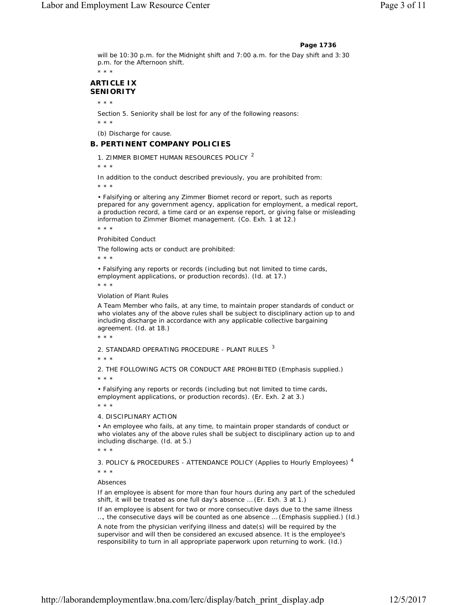#### **Page 1736**

will be 10:30 p.m. for the Midnight shift and 7:00 a.m. for the Day shift and 3:30 p.m. for the Afternoon shift.

\* \* \*

# *ARTICLE IX SENIORITY*

\* \* \*

*Section 5*. Seniority shall be lost for any of the following reasons:

\* \* \*

*(b)* Discharge for cause.

## *B. PERTINENT COMPANY POLICIES*

*1. ZIMMER BIOMET HUMAN RESOURCES POLICY <sup>2</sup>*

\* \* \*

*In addition to the conduct described previously, you are prohibited from:*

\* \* \*

• Falsifying or altering any Zimmer Biomet record or report, such as reports prepared for any government agency, application for employment, a medical report, a production record, a time card or an expense report, or giving false or misleading information to Zimmer Biomet management. (Co. Exh. 1 at 12.) \* \* \*

*Prohibited Conduct*

The following acts or conduct are prohibited:

\* \* \*

• Falsifying any reports or records (including but not limited to time cards, employment applications, or production records). (*Id.* at 17.)

\* \* \*

#### *Violation of Plant Rules*

A Team Member who fails, at any time, to maintain proper standards of conduct or who violates any of the above rules shall be subject to disciplinary action up to and including discharge in accordance with any applicable collective bargaining agreement. (*Id.* at 18.)

\* \* \*

*2. STANDARD OPERATING PROCEDURE - PLANT RULES <sup>3</sup>*

\* \* \*

2. *THE FOLLOWING ACTS OR CONDUCT ARE PROHIBITED* (Emphasis supplied.) \* \* \*

• Falsifying any reports or records (including but not limited to time cards, employment applications, or production records). (Er. Exh. 2 at 3.)

\* \* \*

### 4. *DISCIPLINARY ACTION*

• An employee who fails, at any time, to maintain proper standards of conduct or who violates any of the above rules shall be subject to disciplinary action up to and including discharge. (*Id.* at 5.)

\* \* \*

*3. POLICY & PROCEDURES - ATTENDANCE POLICY (Applies to Hourly Employees) 4*

\* \* \*

## *Absences*

If an employee is absent for more than four hours during any part of the scheduled shift, it will be treated as one full day's absence … (Er. Exh. 3 at 1.)

If an employee is absent for two or more consecutive days due to the *same illness* …, the consecutive days will be counted as one absence … (Emphasis supplied.) (*Id.*)

A note from the physician verifying illness and date(s) will be required by the supervisor and will then be considered an excused absence. It is the employee's responsibility to turn in all appropriate paperwork upon returning to work. (*Id.*)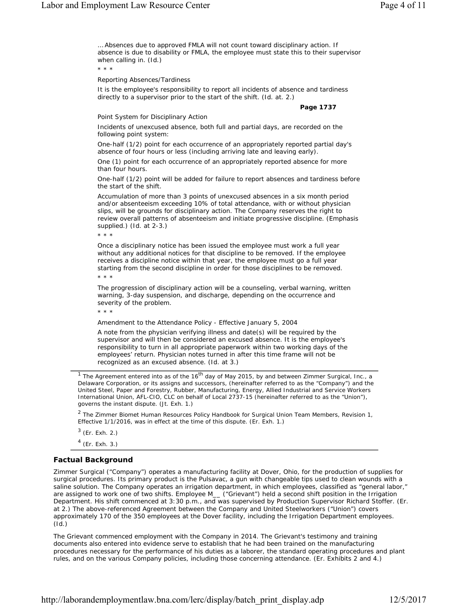… Absences due to approved FMLA will not count toward disciplinary action. If absence is due to disability or FMLA, the employee must state this to their supervisor when calling in. (*Id.*)

\* \* \*

*Reporting Absences/Tardiness*

It is the employee's responsibility to report all incidents of absence and tardiness directly to a supervisor prior to the start of the shift. (*Id.* at. 2.)

**Page 1737**

#### *Point System for Disciplinary Action*

Incidents of unexcused absence, both full and partial days, are recorded on the following point system:

One-half (1/2) point for each occurrence of an appropriately reported partial day's absence of four hours or less (including arriving late and leaving early).

One (1) point for each occurrence of an appropriately reported absence for more than four hours.

One-half (1/2) point will be added for failure to report absences and tardiness before the start of the shift.

Accumulation of more than 3 points of unexcused absences in a six month period and/or absenteeism exceeding 10% of total attendance, with or without physician slips, will be grounds for disciplinary action. *The Company reserves the right to review overall patterns of absenteeism and initiate progressive discipline.* (Emphasis supplied.) (*Id.* at 2-3.)

\* \* \*

Once a disciplinary notice has been issued the employee must work a full year without any additional notices for that discipline to be removed. If the employee receives a discipline notice within that year, the employee must go a full year starting from the second discipline in order for those disciplines to be removed. \* \* \*

The progression of disciplinary action will be a counseling, verbal warning, written warning, 3-day suspension, and discharge, depending on the occurrence and severity of the problem.

\* \* \*

*Amendment to the Attendance Policy - Effective January 5, 2004*

*A note from the physician verifying illness and date(s) will be required by the supervisor and will then be considered an excused absence. It is the employee's responsibility to turn in all appropriate paperwork within two working days of the*  employees' return. Physician notes turned in after this time frame will not be *recognized as an excused absence.* (*Id.* at 3.)

The Agreement entered into as of the  $16<sup>th</sup>$  day of May 2015, by and between Zimmer Surgical, Inc., a Delaware Corporation, or its assigns and successors, (hereinafter referred to as the "Company") and the United Steel, Paper and Forestry, Rubber, Manufacturing, Energy, Allied Industrial and Service Workers International Union, AFL-CIO, CLC on behalf of Local 2737-15 (hereinafter referred to as the "Union"), governs the instant dispute. (Jt. Exh. 1.)

 $2$  The Zimmer Biomet Human Resources Policy Handbook for Surgical Union Team Members, Revision 1, Effective 1/1/2016, was in effect at the time of this dispute. (Er. Exh. 1.)

 $3$  (Er. Exh. 2.)

 $4$  (Er. Exh. 3.)

## **Factual Background**

Zimmer Surgical ("Company") operates a manufacturing facility at Dover, Ohio, for the production of supplies for surgical procedures. Its primary product is the Pulsavac, a gun with changeable tips used to clean wounds with a saline solution. The Company operates an irrigation department, in which employees, classified as "general labor," are assigned to work one of two shifts. Employee M\_\_ ("Grievant") held a second shift position in the Irrigation Department. His shift commenced at 3:30 p.m., and was supervised by Production Supervisor Richard Stoffer. (Er. at 2.) The above-referenced Agreement between the Company and United Steelworkers ("Union") covers approximately 170 of the 350 employees at the Dover facility, including the Irrigation Department employees. (*Id.*)

The Grievant commenced employment with the Company in 2014. The Grievant's testimony and training documents also entered into evidence serve to establish that he had been trained on the manufacturing procedures necessary for the performance of his duties as a laborer, the standard operating procedures and plant rules, and on the various Company policies, including those concerning attendance. (Er. Exhibits 2 and 4.)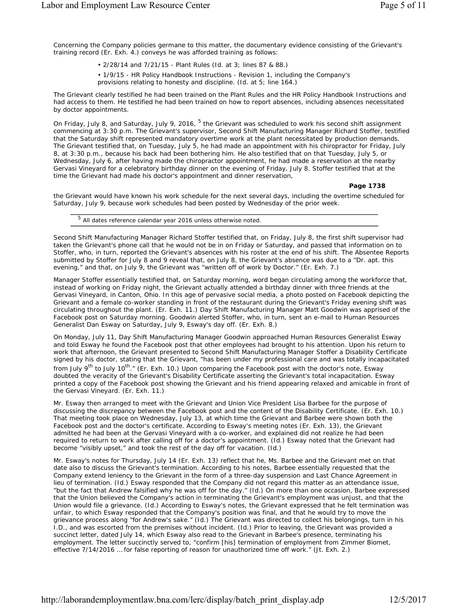Concerning the Company policies germane to this matter, the documentary evidence consisting of the Grievant's training record (Er. Exh. 4.) conveys he was afforded training as follows:

• 2/28/14 and 7/21/15 - Plant Rules (*Id.* at 3; lines 87 & 88.)

• 1/9/15 - HR Policy Handbook Instructions - Revision 1, including the Company's provisions relating to honesty and discipline. (*Id.* at 5; line 164.)

The Grievant clearly testified he had been trained on the Plant Rules and the HR Policy Handbook Instructions and had access to them. He testified he had been trained on how to report absences, including absences necessitated by doctor appointments.

On Friday, July 8, and Saturday, July 9, 2016, <sup>5</sup> the Grievant was scheduled to work his second shift assignment commencing at 3:30 p.m. The Grievant's supervisor, Second Shift Manufacturing Manager Richard Stoffer, testified that the Saturday shift represented mandatory overtime work at the plant necessitated by production demands. The Grievant testified that, on Tuesday, July 5, he had made an appointment with his chiropractor for Friday, July 8, at 3:30 p.m., because his back had been bothering him. He also testified that on that Tuesday, July 5, or Wednesday, July 6, after having made the chiropractor appointment, he had made a reservation at the nearby Gervasi Vineyard for a celebratory birthday dinner on the evening of Friday, July 8. Stoffer testified that at the time the Grievant had made his doctor's appointment and dinner reservation,

**Page 1738**

the Grievant would have known his work schedule for the next several days, including the overtime scheduled for Saturday, July 9, because work schedules had been posted by Wednesday of the prior week.

<sup>5</sup> All dates reference calendar year 2016 unless otherwise noted.

Second Shift Manufacturing Manager Richard Stoffer testified that, on Friday, July 8, the first shift supervisor had taken the Grievant's phone call that he would not be in on Friday or Saturday, and passed that information on to Stoffer, who, in turn, reported the Grievant's absences with his roster at the end of his shift. The Absentee Reports submitted by Stoffer for July 8 and 9 reveal that, on July 8, the Grievant's absence was due to a "Dr. apt. this evening," and that, on July 9, the Grievant was "written off of work by Doctor." (Er. Exh. 7.)

Manager Stoffer essentially testified that, on Saturday morning, word began circulating among the workforce that, instead of working on Friday night, the Grievant actually attended a birthday dinner with three friends at the Gervasi Vineyard, in Canton, Ohio. In this age of pervasive social media, a photo posted on Facebook depicting the Grievant and a female co-worker standing in front of the restaurant during the Grievant's Friday evening shift was circulating throughout the plant. (Er. Exh. 11.) Day Shift Manufacturing Manager Matt Goodwin was apprised of the Facebook post on Saturday morning. Goodwin alerted Stoffer, who, in turn, sent an e-mail to Human Resources Generalist Dan Esway on Saturday, July 9, Esway's day off. (Er. Exh. 8.)

On Monday, July 11, Day Shift Manufacturing Manager Goodwin approached Human Resources Generalist Esway and told Esway he found the Facebook post that other employees had brought to his attention. Upon his return to work that afternoon, the Grievant presented to Second Shift Manufacturing Manager Stoffer a Disability Certificate signed by his doctor, stating that the Grievant, "has been under my professional care and was totally incapacitated from July 9<sup>th</sup> to July 10<sup>th</sup>." (Er. Exh. 10.) Upon comparing the Facebook post with the doctor's note, Esway doubted the veracity of the Grievant's Disability Certificate asserting the Grievant's total incapacitation. Esway printed a copy of the Facebook post showing the Grievant and his friend appearing relaxed and amicable in front of the Gervasi Vineyard. (Er. Exh. 11.)

Mr. Esway then arranged to meet with the Grievant and Union Vice President Lisa Barbee for the purpose of discussing the discrepancy between the Facebook post and the content of the Disability Certificate. (Er. Exh. 10.) That meeting took place on Wednesday, July 13, at which time the Grievant and Barbee were shown both the Facebook post and the doctor's certificate. According to Esway's meeting notes (Er. Exh. 13), the Grievant admitted he had been at the Gervasi Vineyard with a co-worker, and explained did not realize he had been required to return to work after calling off for a doctor's appointment. (*Id.*) Esway noted that the Grievant had become "visibly upset," and took the rest of the day off for vacation. (*Id.*)

Mr. Esway's notes for Thursday, July 14 (Er. Exh. 13) reflect that he, Ms. Barbee and the Grievant met on that date also to discuss the Grievant's termination. According to his notes, Barbee essentially requested that the Company extend leniency to the Grievant in the form of a three-day suspension and Last Chance Agreement in lieu of termination. (*Id.*) Esway responded that the Company did not regard this matter as an attendance issue, "but the fact that Andrew falsified why he was off for the day." (*Id.*) On more than one occasion, Barbee expressed that the Union believed the Company's action in terminating the Grievant's employment was unjust, and that the Union would file a grievance. (*Id.*) According to Esway's notes, the Grievant expressed that he felt termination was unfair, to which Esway responded that the Company's position was final, and that he would try to move the grievance process along "for Andrew's sake." (*Id.*) The Grievant was directed to collect his belongings, turn in his I.D., and was escorted from the premises without incident. (*Id.*) Prior to leaving, the Grievant was provided a succinct letter, dated July 14, which Esway also read to the Grievant in Barbee's presence, terminating his employment. The letter succinctly served to, "confirm [his] termination of employment from Zimmer Biomet, effective 7/14/2016 … for false reporting of reason for unauthorized time off work." (Jt. Exh. 2.)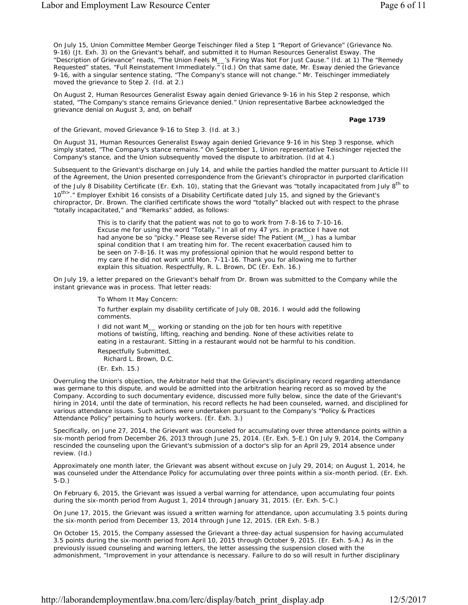On July 15, Union Committee Member George Teischinger filed a Step 1 "Report of Grievance" (Grievance No. 9-16) (Jt. Exh. 3) on the Grievant's behalf, and submitted it to Human Resources Generalist Esway. The "Description of Grievance" reads, "The Union Feels M\_\_'s Firing Was Not For Just Cause." (*Id.* at 1) The "Remedy Requested" states, "Full Reinstatement Immediately." (*Id.*) On that same date, Mr. Esway denied the Grievance 9-16, with a singular sentence stating, "The Company's stance will not change." Mr. Teischinger immediately moved the grievance to Step 2. (*Id.* at 2.)

On August 2, Human Resources Generalist Esway again denied Grievance 9-16 in his Step 2 response, which stated, "The Company's stance remains Grievance denied." Union representative Barbee acknowledged the grievance denial on August 3, and, on behalf

**Page 1739**

of the Grievant, moved Grievance 9-16 to Step 3. (*Id.* at 3.)

On August 31, Human Resources Generalist Esway again denied Grievance 9-16 in his Step 3 response, which simply stated, "The Company's stance remains." On September 1, Union representative Teischinger rejected the Company's stance, and the Union subsequently moved the dispute to arbitration. (*Id* at 4.)

Subsequent to the Grievant's discharge on July 14, and while the parties handled the matter pursuant to Article III of the Agreement, the Union presented correspondence from the Grievant's chiropractor in purported clarification of the July 8 Disability Certificate (Er. Exh. 10), stating that the Grievant was "totally incapacitated from July 8<sup>th</sup> to 10<sup>th></sup>." Employer Exhibit 16 consists of a Disability Certificate dated July 15, and signed by the Grievant's chiropractor, Dr. Brown. The clarified certificate shows the word "totally" blacked out with respect to the phrase "totally incapacitated," and "Remarks" added, as follows:

> This is to clarify that the patient was not to go to work from 7-8-16 to 7-10-16. Excuse me for using the word "Totally." In all of my 47 yrs. in practice I have not had anyone be so "picky." Please see Reverse side! The Patient (M\_) has a lumbar spinal condition that I am treating him for. The recent exacerbation caused him to be seen on 7-8-16. It was my professional opinion that he would respond better to my care if he did not work until Mon. 7-11-16. Thank you for allowing me to further explain this situation. Respectfully, R. L. Brown, DC (Er. Exh. 16.)

On July 19, a letter prepared on the Grievant's behalf from Dr. Brown was submitted to the Company while the instant grievance was in process. That letter reads:

To Whom It May Concern:

To further explain my disability certificate of July 08, 2016. I would add the following comments.

I did not want M\_\_ working or standing on the job for ten hours with repetitive motions of twisting, lifting, reaching and bending. None of these activities relate to eating in a restaurant. Sitting in a restaurant would not be harmful to his condition. Respectfully Submitted,

Richard L. Brown, D.C.

(Er. Exh. 15.)

Overruling the Union's objection, the Arbitrator held that the Grievant's disciplinary record regarding attendance was germane to this dispute, and would be admitted into the arbitration hearing record as so moved by the Company. According to such documentary evidence, discussed more fully below, since the date of the Grievant's hiring in 2014, until the date of termination, his record reflects he had been counseled, warned, and disciplined for various attendance issues. Such actions were undertaken pursuant to the Company's "Policy & Practices Attendance Policy" pertaining to hourly workers. (Er. Exh. 3.)

Specifically, on June 27, 2014, the Grievant was counseled for accumulating over three attendance points within a six-month period from December 26, 2013 through June 25, 2014. (Er. Exh. 5-E.) On July 9, 2014, the Company rescinded the counseling upon the Grievant's submission of a doctor's slip for an April 29, 2014 absence under review. (*Id.*)

Approximately one month later, the Grievant was absent without excuse on July 29, 2014; on August 1, 2014, he was counseled under the Attendance Policy for accumulating over three points within a six-month period. (Er. Exh. 5-D.)

On February 6, 2015, the Grievant was issued a verbal warning for attendance, upon accumulating four points during the six-month period from August 1, 2014 through January 31, 2015. (Er. Exh. 5-C.)

On June 17, 2015, the Grievant was issued a written warning for attendance, upon accumulating 3.5 points during the six-month period from December 13, 2014 through June 12, 2015. (ER Exh. 5-B.)

On October 15, 2015, the Company assessed the Grievant a three-day actual suspension for having accumulated 3.5 points during the six-month period from April 10, 2015 through October 9, 2015. (Er. Exh. 5-A.) As in the previously issued counseling and warning letters, the letter assessing the suspension closed with the admonishment, "Improvement in your attendance is necessary. Failure to do so will result in further disciplinary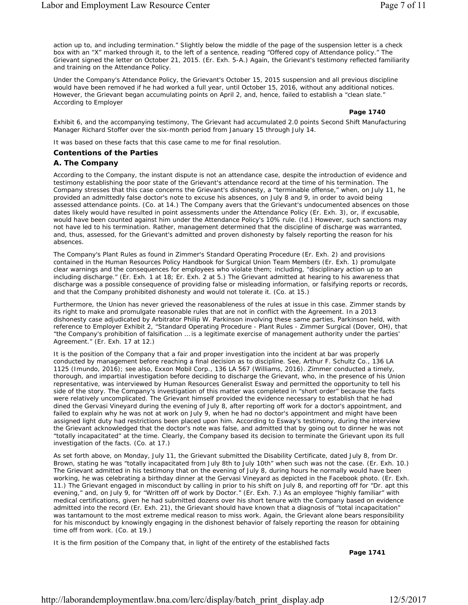action up to, and including termination." Slightly below the middle of the page of the suspension letter is a check box with an "X" marked through it, to the left of a sentence, reading "Offered copy of Attendance policy." The Grievant signed the letter on October 21, 2015. (Er. Exh. 5-A.) Again, the Grievant's testimony reflected familiarity and training on the Attendance Policy.

Under the Company's Attendance Policy, the Grievant's October 15, 2015 suspension and all previous discipline would have been removed if he had worked a full year, until October 15, 2016, without any additional notices. However, the Grievant began accumulating points on April 2, and, hence, failed to establish a "clean slate." According to Employer

**Page 1740**

Exhibit 6, and the accompanying testimony, The Grievant had accumulated 2.0 points Second Shift Manufacturing Manager Richard Stoffer over the six-month period from January 15 through July 14.

It was based on these facts that this case came to me for final resolution.

## **Contentions of the Parties**

## *A. The Company*

According to the Company, the instant dispute is not an attendance case, despite the introduction of evidence and testimony establishing the poor state of the Grievant's attendance record at the time of his termination. The Company stresses that this case concerns the Grievant's dishonesty, a "terminable offense," when, on July 11, he provided an admittedly false doctor's note to excuse his absences, on July 8 and 9, in order to avoid being assessed attendance points. (Co. at 14.) The Company avers that the Grievant's undocumented absences on those dates likely would have resulted in point assessments under the Attendance Policy (Er. Exh. 3), or, if excusable, would have been counted against him under the Attendance Policy's 10% rule. (*Id.*) However, such sanctions may not have led to his termination. Rather, management determined that the discipline of discharge was warranted, and, thus, assessed, for the Grievant's admitted and proven dishonesty by falsely reporting the reason for his absences.

The Company's Plant Rules as found in Zimmer's Standard Operating Procedure (Er. Exh. 2) and provisions contained in the Human Resources Policy Handbook for Surgical Union Team Members (Er. Exh. 1) promulgate clear warnings and the consequences for employees who violate them; including, "disciplinary action up to an including discharge." (Er. Exh. 1 at 18; Er. Exh. 2 at 5.) The Grievant admitted at hearing to his awareness that discharge was a possible consequence of providing false or misleading information, or falsifying reports or records, and that the Company prohibited dishonesty and would not tolerate it. (Co. at 15.)

Furthermore, the Union has never grieved the reasonableness of the rules at issue in this case. Zimmer stands by its right to make and promulgate reasonable rules that are not in conflict with the Agreement. In a 2013 dishonesty case adjudicated by Arbitrator Philip W. Parkinson involving these same parties, Parkinson held, with reference to Employer Exhibit 2, "Standard Operating Procedure - Plant Rules - Zimmer Surgical (Dover, OH), that "the Company's prohibition of falsification … is a legitimate exercise of management authority under the parties' Agreement." (Er. Exh. 17 at 12.)

It is the position of the Company that a fair and proper investigation into the incident at bar was properly conducted by management before reaching a final decision as to discipline. *See*, *Arthur F. Schultz Co.*, 136 LA 1125 (Imundo, 2016); *see also*, *Exxon Mobil Corp.*, 136 LA 567 (Williams, 2016). Zimmer conducted a timely, thorough, and impartial investigation before deciding to discharge the Grievant, who, in the presence of his Union representative, was interviewed by Human Resources Generalist Esway and permitted the opportunity to tell his side of the story. The Company's investigation of this matter was completed in "short order" because the facts were relatively uncomplicated. The Grievant himself provided the evidence necessary to establish that he had dined the Gervasi Vineyard during the evening of July 8, after reporting off work for a doctor's appointment, and failed to explain why he was not at work on July 9, when he had no doctor's appointment and might have been assigned light duty had restrictions been placed upon him. According to Esway's testimony, during the interview the Grievant acknowledged that the doctor's note was false, and admitted that by going out to dinner he was not "totally incapacitated" at the time. Clearly, the Company based its decision to terminate the Grievant upon its full investigation of the facts. (Co. at 17.)

As set forth above, on Monday, July 11, the Grievant submitted the Disability Certificate, dated July 8, from Dr. Brown, stating he was "totally incapacitated from July 8th to July 10th" when such was not the case. (Er. Exh. 10.) The Grievant admitted in his testimony that on the evening of July 8, during hours he normally would have been working, he was celebrating a birthday dinner at the Gervasi Vineyard as depicted in the Facebook photo. (Er. Exh. 11.) The Grievant engaged in misconduct by calling in prior to his shift on July 8, and reporting off for "Dr. apt this evening," and, on July 9, for "Written off of work by Doctor." (Er. Exh. 7.) As an employee "highly familiar" with medical certifications, given he had submitted dozens over his short tenure with the Company based on evidence admitted into the record (Er. Exh. 21), the Grievant should have known that a diagnosis of "total incapacitation" was tantamount to the most extreme medical reason to miss work. Again, the Grievant alone bears responsibility for his misconduct by knowingly engaging in the dishonest behavior of falsely reporting the reason for obtaining time off from work. (Co. at 19.)

It is the firm position of the Company that, in light of the entirety of the established facts

**Page 1741**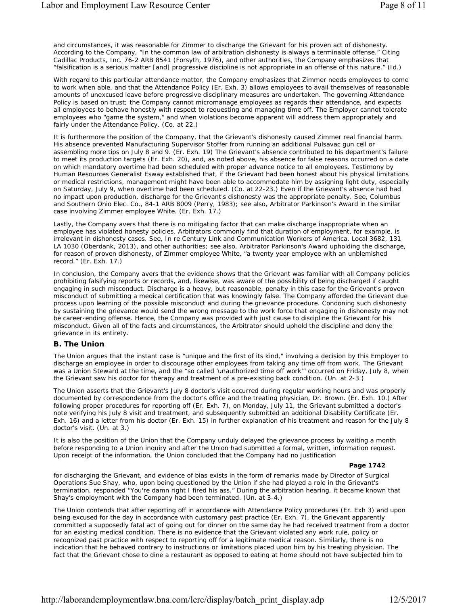and circumstances, it was reasonable for Zimmer to discharge the Grievant for his proven act of dishonesty. According to the Company, "In the common law of arbitration dishonesty is always a terminable offense." Citing *Cadillac Products, Inc.* 76-2 ARB 8541 (Forsyth, 1976), and other authorities, the Company emphasizes that "falsification is a serious matter [and] progressive discipline is not appropriate in an offense of this nature." (*Id.*)

With regard to this particular attendance matter, the Company emphasizes that Zimmer needs employees to come to work when able, and that the Attendance Policy (Er. Exh. 3) allows employees to avail themselves of reasonable amounts of unexcused leave before progressive disciplinary measures are undertaken. The governing Attendance Policy is based on trust; the Company cannot micromanage employees as regards their attendance, and expects all employees to behave honestly with respect to requesting and managing time off. The Employer cannot tolerate employees who "game the system," and when violations become apparent will address them appropriately and fairly under the Attendance Policy. (Co. at 22.)

It is furthermore the position of the Company, that the Grievant's dishonesty caused Zimmer real financial harm. His absence prevented Manufacturing Supervisor Stoffer from running an additional Pulsavac gun cell or assembling more tips on July 8 and 9. (Er. Exh. 19) The Grievant's absence contributed to his department's failure to meet its production targets (Er. Exh. 20), and, as noted above, his absence for false reasons occurred on a date on which mandatory overtime had been scheduled with proper advance notice to all employees. Testimony by Human Resources Generalist Esway established that, if the Grievant had been honest about his physical limitations or medical restrictions, management might have been able to accommodate him by assigning light duty, especially on Saturday, July 9, when overtime had been scheduled. (Co. at 22-23.) Even if the Grievant's absence had had no impact upon production, discharge for the Grievant's dishonesty was the appropriate penalty. *See*, *Columbus and Southern Ohio Elec. Co.*, 84-1 ARB 8009 (Perry, 1983); *see also*, Arbitrator Parkinson's Award in the similar case involving Zimmer employee White. (Er. Exh. 17.)

Lastly, the Company avers that there is no mitigating factor that can make discharge inappropriate when an employee has violated honesty policies. Arbitrators commonly find that duration of employment, for example, is irrelevant in dishonesty cases. *See*, *In re Century Link and Communication Workers of America, Local 3682*, 131 LA 1030 (Oberdank, 2013), and other authorities; *see also*, Arbitrator Parkinson's Award upholding the discharge, for reason of proven dishonesty, of Zimmer employee White, "a twenty year employee with an unblemished record." (Er. Exh. 17.)

In conclusion, the Company avers that the evidence shows that the Grievant was familiar with all Company policies prohibiting falsifying reports or records, and, likewise, was aware of the possibility of being discharged if caught engaging in such misconduct. Discharge is a heavy, but reasonable, penalty in this case for the Grievant's proven misconduct of submitting a medical certification that was knowingly false. The Company afforded the Grievant due process upon learning of the possible misconduct and during the grievance procedure. Condoning such dishonesty by sustaining the grievance would send the wrong message to the work force that engaging in dishonesty may not be career-ending offense. Hence, the Company was provided with just cause to discipline the Grievant for his misconduct. Given all of the facts and circumstances, the Arbitrator should uphold the discipline and deny the grievance in its entirety.

## *B. The Union*

The Union argues that the instant case is "unique and the first of its kind," involving a decision by this Employer to discharge an employee in order to discourage other employees from taking any time off from work. The Grievant was a Union Steward at the time, and the "so called 'unauthorized time off work'" occurred on Friday, July 8, when the Grievant saw his doctor for therapy and treatment of a pre-existing back condition. (Un. at 2-3.)

The Union asserts that the Grievant's July 8 doctor's visit occurred during regular working hours and was properly documented by correspondence from the doctor's office and the treating physician, Dr. Brown. (Er. Exh. 10.) After following proper procedures for reporting off (Er. Exh. 7), on Monday, July 11, the Grievant submitted a doctor's note verifying his July 8 visit and treatment, and subsequently submitted an additional Disability Certificate (Er. Exh. 16) and a letter from his doctor (Er. Exh. 15) in further explanation of his treatment and reason for the July 8 doctor's visit. (Un. at 3.)

It is also the position of the Union that the Company unduly delayed the grievance process by waiting a month before responding to a Union inquiry and after the Union had submitted a formal, written, information request. Upon receipt of the information, the Union concluded that the Company had no justification

## **Page 1742**

for discharging the Grievant, and evidence of bias exists in the form of remarks made by Director of Surgical Operations Sue Shay, who, upon being questioned by the Union if she had played a role in the Grievant's termination, responded "You're damn right I fired his ass." During the arbitration hearing, it became known that Shay's employment with the Company had been terminated. (Un. at 3-4.)

The Union contends that after reporting off in accordance with Attendance Policy procedures (Er. Exh 3) and upon being excused for the day in accordance with customary past practice (Er. Exh. 7), the Grievant apparently committed a supposedly fatal act of going out for dinner on the same day he had received treatment from a doctor for an existing medical condition. There is no evidence that the Grievant violated any work rule, policy or recognized past practice with respect to reporting off for a legitimate medical reason. Similarly, there is no indication that he behaved contrary to instructions or limitations placed upon him by his treating physician. The fact that the Grievant chose to dine a restaurant as opposed to eating at home should not have subjected him to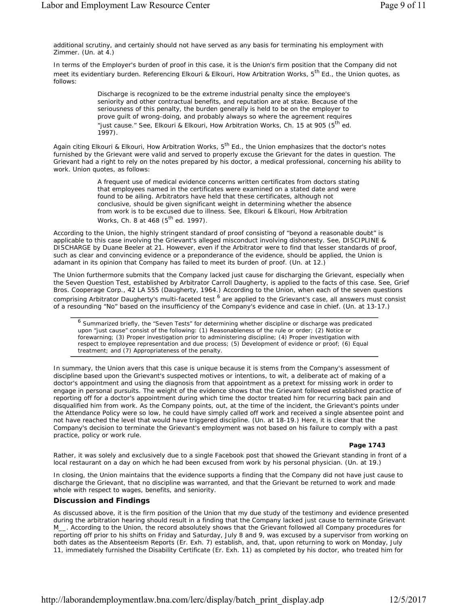additional scrutiny, and certainly should not have served as any basis for terminating his employment with Zimmer. (Un. at 4.)

In terms of the Employer's burden of proof in this case, it is the Union's firm position that the Company did not meet its evidentiary burden. Referencing Elkouri & Elkouri, *How Arbitration Works*, 5th Ed., the Union quotes, as follows:

> Discharge is recognized to be the extreme industrial penalty since the employee's seniority and other contractual benefits, and reputation are at stake. Because of the seriousness of this penalty, the burden generally is held to be on the employer to prove guilt of wrong-doing, and probably always so where the agreement requires "just cause." *See*, Elkouri & Elkouri, *How Arbitration Works*, Ch. 15 at 905 (5th ed. 1997).

Again citing Elkouri & Elkouri, *How Arbitration Works*, 5<sup>th</sup> Ed., the Union emphasizes that the doctor's notes furnished by the Grievant were valid and served to properly excuse the Grievant for the dates in question. The Grievant had a right to rely on the notes prepared by his doctor, a medical professional, concerning his ability to work. Union quotes, as follows:

> A frequent use of medical evidence concerns written certificates from doctors stating that employees named in the certificates were examined on a stated date and were found to be ailing. Arbitrators have held that these certificates, although not conclusive, should be given significant weight in determining whether the absence from work is to be excused due to illness. *See*, Elkouri & Elkouri, *How Arbitration Works*, Ch. 8 at 468 (5<sup>th</sup> ed. 1997).

According to the Union, the highly stringent standard of proof consisting of "beyond a reasonable doubt" is applicable to this case involving the Grievant's alleged misconduct involving dishonesty. *See*, DISCIPLINE & DISCHARGE by Duane Beeler at 21. However, even if the Arbitrator were to find that lesser standards of proof, such as clear and convincing evidence or a preponderance of the evidence, should be applied, the Union is adamant in its opinion that Company has failed to meet its burden of proof. (Un. at 12.)

The Union furthermore submits that the Company lacked just cause for discharging the Grievant, especially when the Seven Question Test, established by Arbitrator Carroll Daugherty, is applied to the facts of this case. *See*, *Grief Bros. Cooperage Corp.*, 42 LA 555 (Daugherty, 1964.) According to the Union, when each of the seven questions comprising Arbitrator Daugherty's multi-faceted test <sup>6</sup> are applied to the Grievant's case, all answers must consist of a resounding "No" based on the insufficiency of the Company's evidence and case in chief. (Un. at 13-17.)

<sup>6</sup> Summarized briefly, the "Seven Tests" for determining whether discipline or discharge was predicated upon "just cause" consist of the following: (1) Reasonableness of the rule or order; (2) Notice or forewarning; (3) Proper investigation prior to administering discipline; (4) Proper investigation with respect to employee representation and due process; (5) Development of evidence or proof; (6) Equal treatment; and (7) Appropriateness of the penalty.

In summary, the Union avers that this case is unique because it is stems from the Company's assessment of discipline based upon the Grievant's suspected motives or intentions, *to wit*, a deliberate act of making of a doctor's appointment and using the diagnosis from that appointment as a pretext for missing work in order to engage in personal pursuits. The weight of the evidence shows that the Grievant followed established practice of reporting off for a doctor's appointment during which time the doctor treated him for recurring back pain and disqualified him from work. As the Company points, out, at the time of the incident, the Grievant's points under the Attendance Policy were so low, he could have simply called off work and received a single absentee point and not have reached the level that would have triggered discipline. (Un. at 18-19.) Here, it is clear that the Company's decision to terminate the Grievant's employment was not based on his failure to comply with a past practice, policy or work rule.

## **Page 1743**

Rather, it was solely and exclusively due to a single Facebook post that showed the Grievant standing in front of a local restaurant on a day on which he had been excused from work by his personal physician. (Un. at 19.)

In closing, the Union maintains that the evidence supports a finding that the Company did not have just cause to discharge the Grievant, that no discipline was warranted, and that the Grievant be returned to work and made whole with respect to wages, benefits, and seniority.

## **Discussion and Findings**

As discussed above, it is the firm position of the Union that my due study of the testimony and evidence presented during the arbitration hearing should result in a finding that the Company lacked just cause to terminate Grievant M\_\_. According to the Union, the record absolutely shows that the Grievant followed all Company procedures for reporting off prior to his shifts on Friday and Saturday, July 8 and 9, was excused by a supervisor from working on both dates as the Absenteeism Reports (Er. Exh. 7) establish, and, that, upon returning to work on Monday, July 11, immediately furnished the Disability Certificate (Er. Exh. 11) as completed by his doctor, who treated him for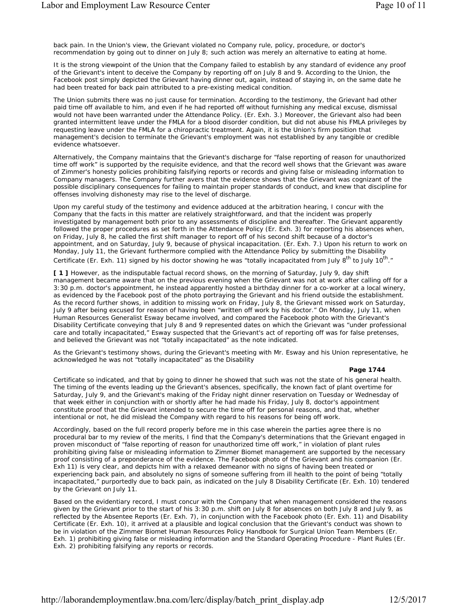back pain. In the Union's view, the Grievant violated no Company rule, policy, procedure, or doctor's recommendation by going out to dinner on July 8; such action was merely an alternative to eating at home.

It is the strong viewpoint of the Union that the Company failed to establish by any standard of evidence any proof of the Grievant's intent to deceive the Company by reporting off on July 8 and 9. According to the Union, the Facebook post simply depicted the Grievant having dinner out, again, instead of staying in, on the same date he had been treated for back pain attributed to a pre-existing medical condition.

The Union submits there was no just cause for termination. According to the testimony, the Grievant had other paid time off available to him, and even if he had reported off without furnishing any medical excuse, dismissal would not have been warranted under the Attendance Policy. (Er. Exh. 3.) Moreover, the Grievant also had been granted intermittent leave under the FMLA for a blood disorder condition, but did not abuse his FMLA privileges by requesting leave under the FMLA for a chiropractic treatment. Again, it is the Union's firm position that management's decision to terminate the Grievant's employment was not established by any tangible or credible evidence whatsoever.

Alternatively, the Company maintains that the Grievant's discharge for "false reporting of reason for unauthorized time off work" is supported by the requisite evidence, and that the record well shows that the Grievant was aware of Zimmer's honesty policies prohibiting falsifying reports or records and giving false or misleading information to Company managers. The Company further avers that the evidence shows that the Grievant was cognizant of the possible disciplinary consequences for failing to maintain proper standards of conduct, and knew that discipline for offenses involving dishonesty may rise to the level of discharge.

Upon my careful study of the testimony and evidence adduced at the arbitration hearing, I concur with the Company that the facts in this matter are relatively straightforward, and that the incident was properly investigated by management both prior to any assessments of discipline and thereafter. The Grievant apparently followed the proper procedures as set forth in the Attendance Policy (Er. Exh. 3) for reporting his absences when, on Friday, July 8, he called the first shift manager to report off of his second shift because of a doctor's appointment, and on Saturday, July 9, because of physical incapacitation. (Er. Exh. 7.) Upon his return to work on Monday, July 11, the Grievant furthermore complied with the Attendance Policy by submitting the Disability Certificate (Er. Exh. 11) signed by his doctor showing he was "totally incapacitated from July  $8^{th}$  to July  $10^{th}$ ."

**[ 1 ]** However, as the indisputable factual record shows, on the morning of Saturday, July 9, day shift management became aware that on the previous evening when the Grievant was not at work after calling off for a 3:30 p.m. doctor's appointment, he instead apparently hosted a birthday dinner for a co-worker at a local winery, as evidenced by the Facebook post of the photo portraying the Grievant and his friend outside the establishment. As the record further shows, in addition to missing work on Friday, July 8, the Grievant missed work on Saturday, July 9 after being excused for reason of having been "written off work by his doctor." On Monday, July 11, when Human Resources Generalist Esway became involved, and compared the Facebook photo with the Grievant's Disability Certificate conveying that July 8 and 9 represented dates on which the Grievant was "under professional care and totally incapacitated," Esway suspected that the Grievant's act of reporting off was for false pretenses, and believed the Grievant was not "totally incapacitated" as the note indicated.

As the Grievant's testimony shows, during the Grievant's meeting with Mr. Esway and his Union representative, he acknowledged he was not "totally incapacitated" as the Disability

### **Page 1744**

Certificate so indicated, and that by going to dinner he showed that such was not the state of his general health. The timing of the events leading up the Grievant's absences, specifically, the known fact of plant overtime for Saturday, July 9, and the Grievant's making of the Friday night dinner reservation on Tuesday or Wednesday of that week either in conjunction with or shortly after he had made his Friday, July 8, doctor's appointment constitute proof that the Grievant intended to secure the time off for personal reasons, and that, whether intentional or not, he did mislead the Company with regard to his reasons for being off work.

Accordingly, based on the full record properly before me in this case wherein the parties agree there is no procedural bar to my review of the merits, I find that the Company's determinations that the Grievant engaged in proven misconduct of "false reporting of reason for unauthorized time off work," in violation of plant rules prohibiting giving false or misleading information to Zimmer Biomet management are supported by the necessary proof consisting of a preponderance of the evidence. The Facebook photo of the Grievant and his companion (Er. Exh 11) is very clear, and depicts him with a relaxed demeanor with no signs of having been treated or experiencing back pain, and absolutely no signs of someone suffering from ill health to the point of being "totally incapacitated," purportedly due to back pain, as indicated on the July 8 Disability Certificate (Er. Exh. 10) tendered by the Grievant on July 11.

Based on the evidentiary record, I must concur with the Company that when management considered the reasons given by the Grievant prior to the start of his 3:30 p.m. shift on July 8 for absences on both July 8 and July 9, as reflected by the Absentee Reports (Er. Exh. 7), in conjunction with the Facebook photo (Er. Exh. 11) and Disability Certificate (Er. Exh. 10), it arrived at a plausible and logical conclusion that the Grievant's conduct was shown to be in violation of the Zimmer Biomet Human Resources Policy Handbook for Surgical Union Team Members (Er. Exh. 1) prohibiting giving false or misleading information and the Standard Operating Procedure - Plant Rules (Er. Exh. 2) prohibiting falsifying any reports or records.